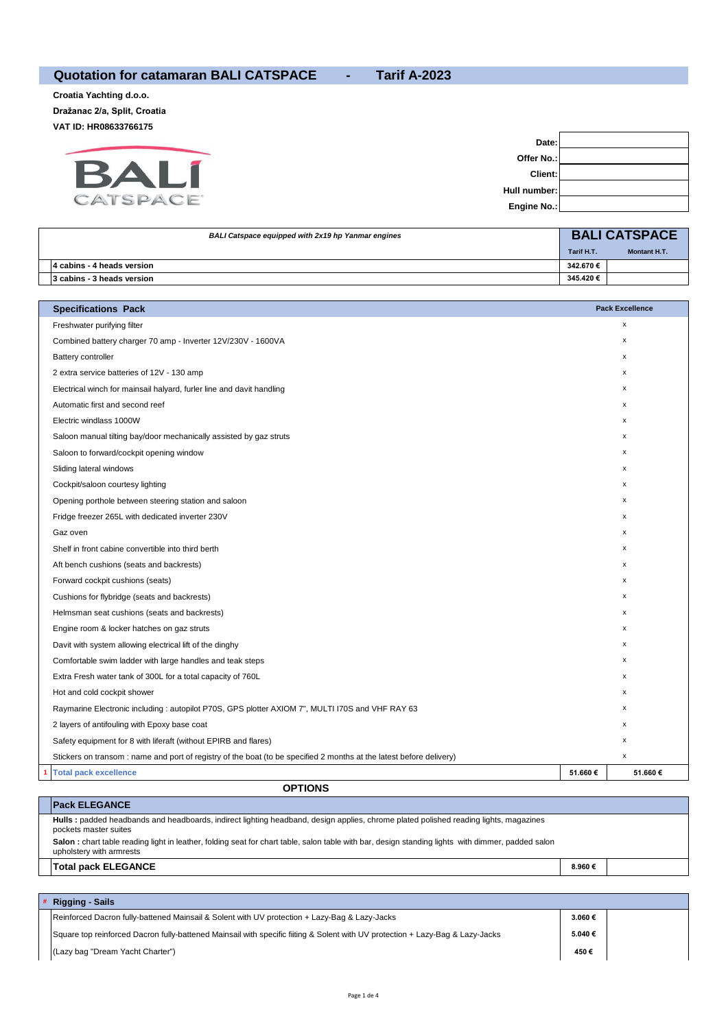## **Quotation for catamaran BALI CATSPACE - Tarif A-2023**

**Croatia Yachting d.o.o. Dražanac 2/a, Split, Croatia VAT ID: HR08633766175**



| Date:          |  |
|----------------|--|
| Offer No.:     |  |
| Client:        |  |
| Hull number: I |  |
| Engine No.:    |  |

| BALI Catspace equipped with 2x19 hp Yanmar engines |            | <b>BALI CATSPACE</b> |
|----------------------------------------------------|------------|----------------------|
|                                                    | Tarif H.T. | <b>Montant H.T.</b>  |
| 4 cabins - 4 heads version                         | 342.670€   |                      |
| 3 cabins - 3 heads version                         | 345.420€   |                      |

| <b>Specifications Pack</b>                                                                                           |         | <b>Pack Excellence</b> |
|----------------------------------------------------------------------------------------------------------------------|---------|------------------------|
| Freshwater purifying filter                                                                                          |         | x                      |
| Combined battery charger 70 amp - Inverter 12V/230V - 1600VA                                                         |         | x                      |
| <b>Battery controller</b>                                                                                            |         | х                      |
| 2 extra service batteries of 12V - 130 amp                                                                           |         | $\mathsf{x}$           |
| Electrical winch for mainsail halyard, furler line and davit handling                                                |         | х                      |
| Automatic first and second reef                                                                                      |         | х                      |
| Electric windlass 1000W                                                                                              |         | x                      |
| Saloon manual tilting bay/door mechanically assisted by gaz struts                                                   |         | x                      |
| Saloon to forward/cockpit opening window                                                                             |         | х                      |
| Sliding lateral windows                                                                                              |         | х                      |
| Cockpit/saloon courtesy lighting                                                                                     |         | x                      |
| Opening porthole between steering station and saloon                                                                 |         | х                      |
| Fridge freezer 265L with dedicated inverter 230V                                                                     |         | $\mathsf{x}$           |
| Gaz oven                                                                                                             |         | х                      |
| Shelf in front cabine convertible into third berth                                                                   |         | х                      |
| Aft bench cushions (seats and backrests)                                                                             |         | х                      |
| Forward cockpit cushions (seats)                                                                                     |         | x                      |
| Cushions for flybridge (seats and backrests)                                                                         |         | х                      |
| Helmsman seat cushions (seats and backrests)                                                                         |         | х                      |
| Engine room & locker hatches on gaz struts                                                                           |         | х                      |
| Davit with system allowing electrical lift of the dinghy                                                             |         | х                      |
| Comfortable swim ladder with large handles and teak steps                                                            |         | х                      |
| Extra Fresh water tank of 300L for a total capacity of 760L                                                          |         | х                      |
| Hot and cold cockpit shower                                                                                          |         | х                      |
| Raymarine Electronic including : autopilot P70S, GPS plotter AXIOM 7", MULTI I70S and VHF RAY 63                     |         | х                      |
| 2 layers of antifouling with Epoxy base coat                                                                         |         | x                      |
| Safety equipment for 8 with liferaft (without EPIRB and flares)                                                      |         | x                      |
| Stickers on transom : name and port of registry of the boat (to be specified 2 months at the latest before delivery) |         | x                      |
| <b>Total pack excellence</b>                                                                                         | 51.660€ | 51.660€                |
| <b>ODTIONS</b>                                                                                                       |         |                        |

## **Pack ELEGANCE**

## **OPTIONS**

|                                                                                                                                                                               | ---------------                                                                                                                                               |        |  |
|-------------------------------------------------------------------------------------------------------------------------------------------------------------------------------|---------------------------------------------------------------------------------------------------------------------------------------------------------------|--------|--|
|                                                                                                                                                                               | Hulls: padded headbands and headboards, indirect lighting headband, design applies, chrome plated polished reading lights, magazines<br>pockets master suites |        |  |
| Salon: chart table reading light in leather, folding seat for chart table, salon table with bar, design standing lights with dimmer, padded salon<br>upholstery with armrests |                                                                                                                                                               |        |  |
|                                                                                                                                                                               | Total pack ELEGANCE                                                                                                                                           | 8.960€ |  |

| # Rigging - Sails                                                                                                              |        |  |
|--------------------------------------------------------------------------------------------------------------------------------|--------|--|
| Reinforced Dacron fully-battened Mainsail & Solent with UV protection + Lazy-Bag & Lazy-Jacks                                  | 3.060€ |  |
| Square top reinforced Dacron fully-battened Mainsail with specific fiiting & Solent with UV protection + Lazy-Bag & Lazy-Jacks | 5.040€ |  |
| (Lazy bag "Dream Yacht Charter")                                                                                               | 450€   |  |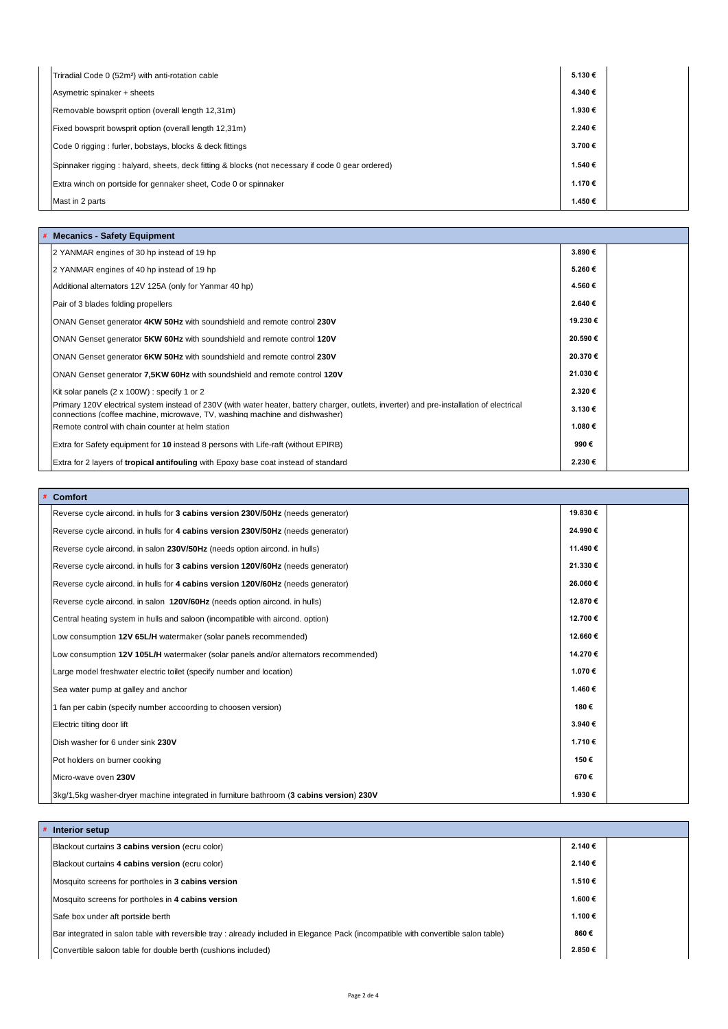| Triradial Code 0 (52m <sup>2</sup> ) with anti-rotation cable                                     | 5.130€  |  |
|---------------------------------------------------------------------------------------------------|---------|--|
| Asymetric spinaker + sheets                                                                       | 4.340€  |  |
| Removable bowsprit option (overall length 12,31m)                                                 | 1.930 € |  |
| Fixed bowsprit bowsprit option (overall length 12,31m)                                            | 2.240€  |  |
| Code 0 rigging: furler, bobstays, blocks & deck fittings                                          | 3.700€  |  |
| Spinnaker rigging : halyard, sheets, deck fitting & blocks (not necessary if code 0 gear ordered) | 1.540 € |  |
| Extra winch on portside for gennaker sheet, Code 0 or spinnaker                                   | 1.170€  |  |
| Mast in 2 parts                                                                                   | 1.450€  |  |

| <b>Mecanics - Safety Equipment</b>                                                                                                                                                                                       |         |  |
|--------------------------------------------------------------------------------------------------------------------------------------------------------------------------------------------------------------------------|---------|--|
| 2 YANMAR engines of 30 hp instead of 19 hp                                                                                                                                                                               | 3.890€  |  |
| 2 YANMAR engines of 40 hp instead of 19 hp                                                                                                                                                                               | 5.260€  |  |
| Additional alternators 12V 125A (only for Yanmar 40 hp)                                                                                                                                                                  | 4.560€  |  |
| Pair of 3 blades folding propellers                                                                                                                                                                                      | 2.640€  |  |
| ONAN Genset generator 4KW 50Hz with soundshield and remote control 230V                                                                                                                                                  | 19.230€ |  |
| ONAN Genset generator 5KW 60Hz with soundshield and remote control 120V                                                                                                                                                  | 20.590€ |  |
| ONAN Genset generator 6KW 50Hz with soundshield and remote control 230V                                                                                                                                                  | 20.370€ |  |
| ONAN Genset generator 7,5KW 60Hz with soundshield and remote control 120V                                                                                                                                                | 21.030€ |  |
| Kit solar panels (2 x 100W) : specify 1 or 2                                                                                                                                                                             | 2.320€  |  |
| Primary 120V electrical system instead of 230V (with water heater, battery charger, outlets, inverter) and pre-installation of electrical<br>connections (coffee machine, microwave, TV, washing machine and dishwasher) | 3.130€  |  |
| Remote control with chain counter at helm station                                                                                                                                                                        | 1.080 € |  |
| Extra for Safety equipment for 10 instead 8 persons with Life-raft (without EPIRB)                                                                                                                                       | 990€    |  |
| Extra for 2 layers of <b>tropical antifouling</b> with Epoxy base coat instead of standard                                                                                                                               | 2.230€  |  |

|  |  | Comfort |  |
|--|--|---------|--|
|--|--|---------|--|

| Reverse cycle aircond. in hulls for 3 cabins version 230V/50Hz (needs generator)    | 19.830€ |  |
|-------------------------------------------------------------------------------------|---------|--|
| Reverse cycle aircond. in hulls for 4 cabins version 230V/50Hz (needs generator)    | 24.990€ |  |
| Reverse cycle aircond. in salon 230V/50Hz (needs option aircond. in hulls)          | 11.490€ |  |
| Reverse cycle aircond. in hulls for 3 cabins version 120V/60Hz (needs generator)    | 21.330€ |  |
| Reverse cycle aircond. in hulls for 4 cabins version 120V/60Hz (needs generator)    | 26.060€ |  |
| Reverse cycle aircond. in salon 120V/60Hz (needs option aircond. in hulls)          | 12.870€ |  |
| Central heating system in hulls and saloon (incompatible with aircond. option)      | 12.700€ |  |
| Low consumption 12V 65L/H watermaker (solar panels recommended)                     | 12.660€ |  |
| Low consumption 12V 105L/H watermaker (solar panels and/or alternators recommended) | 14.270€ |  |
| Large model freshwater electric toilet (specify number and location)                | 1.070€  |  |
| Sea water pump at galley and anchor                                                 | 1.460€  |  |
| 1 fan per cabin (specify number accoording to choosen version)                      | 180€    |  |
| Electric tilting door lift                                                          | 3.940€  |  |
| Dish washer for 6 under sink 230V                                                   | 1.710€  |  |
| Pot holders on burner cooking                                                       | 150€    |  |
| Micro-wave oven 230V                                                                | 670€    |  |
| 38 300 330V 300 300 30000 30000 30000 3000 30000 30000 30000 4 3 cabins version)    | 1.930€  |  |

| # Interior setup                                                                                                                   |         |  |
|------------------------------------------------------------------------------------------------------------------------------------|---------|--|
| Blackout curtains 3 cabins version (ecru color)                                                                                    | 2.140€  |  |
| Blackout curtains 4 cabins version (ecru color)                                                                                    | 2.140 € |  |
| Mosquito screens for portholes in 3 cabins version                                                                                 | 1.510€  |  |
| Mosquito screens for portholes in 4 cabins version                                                                                 | 1.600 € |  |
| Safe box under aft portside berth                                                                                                  | 1.100 € |  |
| Bar integrated in salon table with reversible tray : already included in Elegance Pack (incompatible with convertible salon table) | 860€    |  |
| Convertible saloon table for double berth (cushions included)                                                                      | 2.850€  |  |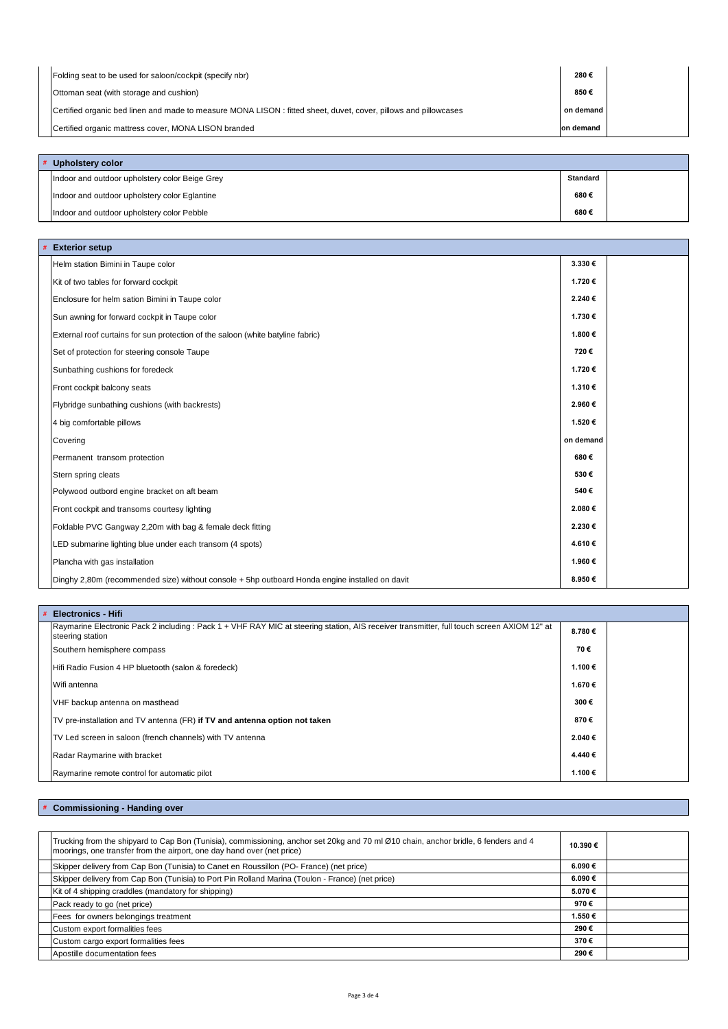| Folding seat to be used for saloon/cockpit (specify nbr)                                                        | 280€      |  |
|-----------------------------------------------------------------------------------------------------------------|-----------|--|
| Ottoman seat (with storage and cushion)                                                                         | 850€      |  |
| Certified organic bed linen and made to measure MONA LISON: fitted sheet, duvet, cover, pillows and pillowcases | on demand |  |
| Certified organic mattress cover, MONA LISON branded                                                            | on demand |  |

| # Upholstery color                             |                 |  |
|------------------------------------------------|-----------------|--|
| Indoor and outdoor upholstery color Beige Grey | <b>Standard</b> |  |
| Indoor and outdoor upholstery color Eglantine  | 680€            |  |
| Indoor and outdoor upholstery color Pebble     | 680€            |  |

| # Exterior setup                                                                               |           |  |
|------------------------------------------------------------------------------------------------|-----------|--|
| Helm station Bimini in Taupe color                                                             | 3.330€    |  |
| Kit of two tables for forward cockpit                                                          | 1.720€    |  |
| Enclosure for helm sation Bimini in Taupe color                                                | 2.240€    |  |
| Sun awning for forward cockpit in Taupe color                                                  | 1.730€    |  |
| External roof curtains for sun protection of the saloon (white batyline fabric)                | 1.800 €   |  |
| Set of protection for steering console Taupe                                                   | 720€      |  |
| Sunbathing cushions for foredeck                                                               | 1.720€    |  |
| Front cockpit balcony seats                                                                    | 1.310€    |  |
| Flybridge sunbathing cushions (with backrests)                                                 | 2.960€    |  |
| 4 big comfortable pillows                                                                      | 1.520€    |  |
| Covering                                                                                       | on demand |  |
| Permanent transom protection                                                                   | 680€      |  |
| Stern spring cleats                                                                            | 530€      |  |
| Polywood outbord engine bracket on aft beam                                                    | 540€      |  |
| Front cockpit and transoms courtesy lighting                                                   | 2.080€    |  |
| Foldable PVC Gangway 2,20m with bag & female deck fitting                                      | 2.230€    |  |
| LED submarine lighting blue under each transom (4 spots)                                       | 4.610€    |  |
| Plancha with gas installation                                                                  | 1.960€    |  |
| Dinghy 2,80m (recommended size) without console + 5hp outboard Honda engine installed on davit | 8.950€    |  |

| # Electronics - Hifi                                                                                                                                           |         |  |
|----------------------------------------------------------------------------------------------------------------------------------------------------------------|---------|--|
| Raymarine Electronic Pack 2 including : Pack 1 + VHF RAY MIC at steering station, AIS receiver transmitter, full touch screen AXIOM 12" at<br>steering station | 8.780€  |  |
| Southern hemisphere compass                                                                                                                                    | 70€     |  |
| Hifi Radio Fusion 4 HP bluetooth (salon & foredeck)                                                                                                            | 1.100 € |  |
| Wifi antenna                                                                                                                                                   | 1.670€  |  |
| VHF backup antenna on masthead                                                                                                                                 | 300€    |  |
| TV pre-installation and TV antenna (FR) if TV and antenna option not taken                                                                                     | 870€    |  |
| TV Led screen in saloon (french channels) with TV antenna                                                                                                      | 2.040€  |  |
| Radar Raymarine with bracket                                                                                                                                   | 4.440€  |  |
| Raymarine remote control for automatic pilot                                                                                                                   | 1.100€  |  |

**# Commissioning - Handing over**

| Trucking from the shipyard to Cap Bon (Tunisia), commissioning, anchor set 20kg and 70 ml Ø10 chain, anchor bridle, 6 fenders and 4<br>moorings, one transfer from the airport, one day hand over (net price) | 10.390€ |  |
|---------------------------------------------------------------------------------------------------------------------------------------------------------------------------------------------------------------|---------|--|
| Skipper delivery from Cap Bon (Tunisia) to Canet en Roussillon (PO- France) (net price)                                                                                                                       | 6.090€  |  |
| Skipper delivery from Cap Bon (Tunisia) to Port Pin Rolland Marina (Toulon - France) (net price)                                                                                                              | 6.090€  |  |
| Kit of 4 shipping craddles (mandatory for shipping)                                                                                                                                                           | 5.070€  |  |
| Pack ready to go (net price)                                                                                                                                                                                  | 970€    |  |
| Fees for owners belongings treatment                                                                                                                                                                          | 1.550€  |  |
| Custom export formalities fees                                                                                                                                                                                | 290€    |  |
| Custom cargo export formalities fees                                                                                                                                                                          | 370€    |  |
| Apostille documentation fees                                                                                                                                                                                  | 290€    |  |
|                                                                                                                                                                                                               |         |  |